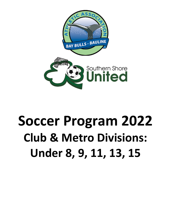

# **Soccer Program 2022 Club & Metro Divisions: Under 8, 9, 11, 13, 15**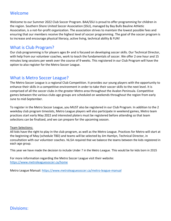## Welcome

Welcome to our Summer 2022 Club Soccer Program. BAA/SSU is proud to offer programming for children in the region. Southern Shore United Soccer Association (SSU), managed by Bay Bulls Bauline Athletic Association, is a not-for-profit organization. The association strives to maintain the lowest possible fees and ensuring that our members receive the highest level of soccer programming. The goal of the soccer program is to increase and encourage physical literacy, active living, technical ability & FUN!

# What is Club Program?

Our club programming is for players ages 8+ and is focused on developing soccer skills. Our Technical Director, with help from our volunteer coaches, work to teach the fundamentals of soccer. We offer 2 one hour and 15 minutes long sessions per week over the course of 9 weeks. This registered in our Club Program will have the option to also register for the Metro Soccer League.

# What is Metro Soccer League?

The Metro Soccer League is a regional Club Competition. It provides our young players with the opportunity to enhance their skills in a competitive environment in order to take their soccer skills to the next level. It is comprised of all the soccer clubs in the greater Metro area throughout the Avalon Peninsula. Competitive games between the various clubs age groups are scheduled on weekends throughout the region from early June to mid-September.

To register in the Metro Soccer League, you MUST also be registered in our Club Program. In addition to the 2 weekday club program timeslots, Metro League players will also participate in weekend games, Metro team practices start early May 2022 and interested platers must be registered before attending so that team selections can be finalized, and we can prepare for the upcoming season.

#### Team Selections:

All kids have the right to play in the club program, as well as the Metro League. Practices for Metro will start at the beginning of May (schedule TBD) and teams will be selected by Jim Hamlyn, Technical Director, in consultation with our volunteer coaches. NLSA required that we balance the teams between the kids registered in each age group.

This year we have made the decision to include Under 7 in the Metro League. This would be for kids born in 2015

For more information regarding the Metro Soccer League visit their website: <https://www.metroleaguesoccer.ca/home>

Metro League Manual:<https://www.metroleaguesoccer.ca/metro-league-manual>

# Divisions: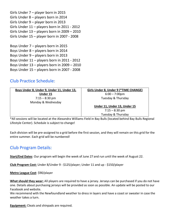Girls Under 7 – player born in 2015 Girls Under 8 – players born in 2014 Girls Under 9 – player born in 2013 Girls Under 11 – players born in 2011 - 2012 Girls Under 13 – players born in 2009 – 2010 Girls Under 15 – player born in 2007 - 2008 Boys Under 7 – players born in 2015 Boys Under 8 – players born in 2014 Boys Under 9 – players born in 2013 Boys Under 11 – players born in 2011 - 2012 Boys Under 13 – players born in 2009 – 2010 Boys Under 15 – players born in 2007 - 2008

## Club Practice Schedule:

| Boys Under 8, Under 9, Under 11, Under 13, | Girls Under 8, Under 9 (*TIME CHANGE) |
|--------------------------------------------|---------------------------------------|
| Under 15                                   | $6:00 - 7:00 \text{pm}$               |
| $7:15 - 8:30$ pm                           | Tuesday & Thursday                    |
| Monday & Wednesday                         |                                       |
|                                            | Under 11, Under 13, Under 15          |
|                                            | $7:15 - 8:30$ pm                      |
|                                            | Tuesday & Thursday                    |

\*All sessions will be located at the Alexandra Williams Field in Bay Bulls (located behind Bay Bulls Regional Lifestyle Center). Schedule is subject to change!

Each division will be pre-assigned to a grid before the first session, and they will remain on this grid for the entire summer. Each grid will be numbered!

# Club Program Details:

**Start/End Dates**: Our program will begin the week of June 27 and run until the week of August 22.

**Club Program Cost:** Under 8/Under 9 - \$125/player; Under 11 and up - \$150/player

**Metro League Cost**: \$90/player

**What should they wear:** All players are required to have a jersey. Jerseys can be purchased if you do not have one. Details about purchasing jerseys will be provided as soon as possible. An update will be posted to our Facebook and website.

We recommend with the Newfoundland weather to dress in layers and have a coast or sweater in case the weather takes a turn.

**Equipment:** Cleats and shinpads are required.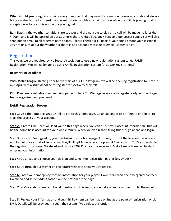**What should you bring:** We provide everything the child may need for a session; however, you should always bring a water bottle for them! If you want to bring a fold-out chair to sit on while the child is playing, that is acceptable as long as it is not on the playing field.

**Rain Days:** If the weather conditions are too wet and are not safe to play on, a call will be made no later than 4:00pm and it will be posted on our Southern Shore United Facebook Page and our soccer supervisor will also send out an email to all program participants. Please check our FB page & your email before your session if you are unsure about the weather. If there is no Facebook message or email - soccer is a go!

## Registration

This year, we are required by NL Soccer Association to use a new registration system called RAMP Registration. We will no longer be using Amilia Registration system for soccer registrations!

### **Registration Deadlines:**

With **Metro League** starting prior to the start of our Club Program, we will be opening registration for both in mid-April with a strict deadline to register for Metro by May 29!

**Club Program** registrations will remain open until June 23. We urge everyone to register early in order to get teams organized and prepared.

#### **RAMP Registration Process:**

**Step 1:** Visit the ramp registration link to get to this homepage. Go ahead and click on "create one Here' to start the process of your account

**Step 2:** 'Create One Here' will lead you to this page where you can fill out your account information. This will be the home base account for your whole family. When you've finished filling this out, go ahead and login.

**Step 3:** Once you're logged in, you'll be taken to your homepage. For now, most of the links on the side are empty, but once you start registering, they'll fill up! To register your play hit 'participant.' You've now started the registration process. Go ahead and choose "2022" ad your season and 'Add a Family Member' to start entering your information.

**Step 4:** Go ahead and choose your division and select the registration packet (ex. Under 4)

**Step 5:** Go through our wavier and signature/select to show you've read it.

**Step 6:** Enter your emergency contact information for your player. Have more than one emergency contact? Go ahead and select 'Add Another' on the bottom of the page.

Step 7: We've added some additional questions to this registration, take an extra moment to fill these out.

**Step 8:** Review your information and submit! Payment can be made online at the point of registration or via EMT. Details will be provided through the system if you select this option.